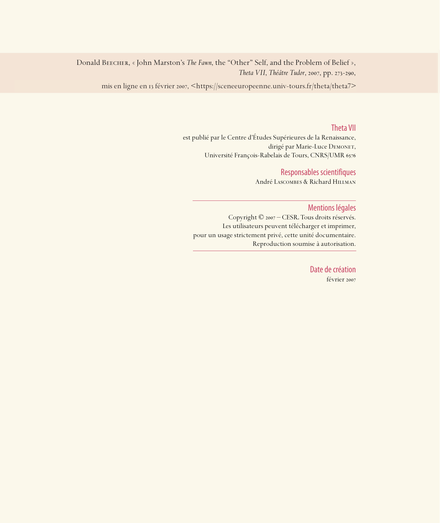Donald BEECHER, « John Marston's *The Fawn*, the "Other" Self, and the Problem of Belief », *Theta VII*, *Théâtre Tudor*, 2007, pp. 273-290,

mis en ligne en 13 février 2007, <https://sceneeuropeenne.univ-tours.fr/theta/theta7>

### Theta VII

est publié par le Centre d'Études Supérieures de la Renaissance, dirigé par Marie-Luce DEMONET, Université François-Rabelais de Tours, CNRS/UMR

## Responsables scientifiques

André Lascombes & Richard Hillman

### Mentions légales

Copyright © 2007 – CESR. Tous droits réservés. Les utilisateurs peuvent télécharger et imprimer, pour un usage strictement privé, cette unité documentaire. Reproduction soumise à autorisation.

> Date de création février 2007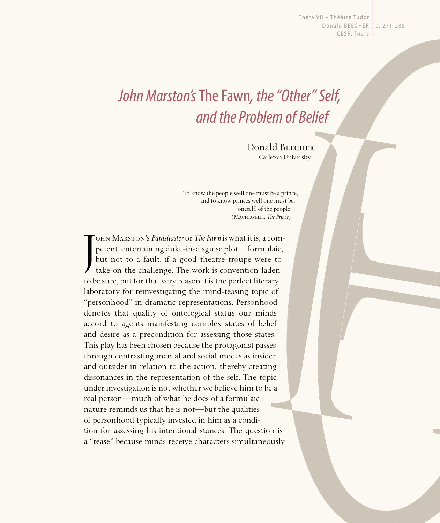Thêta VII - Théâtre Tudor Donald BEECHER | p. 271-288 CESR, Tours

# John Marston's The Fawn, the "Other" Self, and the Problem of Belief

Donald BEECHER Carleton University

"To know the people well one must be a prince, and to know princes well one must be, oneself, of the people" (Machiavelli, *The Prince*)

J ohn Marston's *Parasitaster* or *The Fawn* is what it is, a competent, entertaining duke-in-disguise plot—formulaic, but not to a fault, if a good theatre troupe were to take on the challenge. The work is convention-laden to be sure, but for that very reason it is the perfect literary laboratory for reinvestigating the mind-teasing topic of "personhood" in dramatic representations. Personhood denotes that quality of ontological status our minds accord to agents manifesting complex states of belief and desire as a precondition for assessing those states. This play has been chosen because the protagonist passes through contrasting mental and social modes as insider and outsider in relation to the action, thereby creating dissonances in the representation of the self. The topic under investigation is not whether we believe him to be a real person—much of what he does of a formulaic nature reminds us that he is not—but the qualities of personhood typically invested in him as a condition for assessing his intentional stances. The question is a "tease" because minds receive characters simultaneously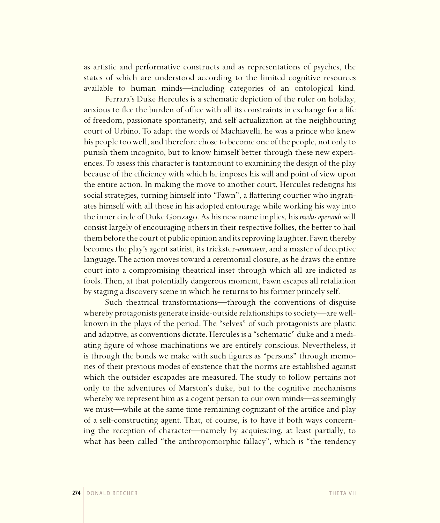as artistic and performative constructs and as representations of psyches, the states of which are understood according to the limited cognitive resources available to human minds—including categories of an ontological kind.

Ferrara's Duke Hercules is a schematic depiction of the ruler on holiday, anxious to flee the burden of office with all its constraints in exchange for a life of freedom, passionate spontaneity, and self-actualization at the neighbouring court of Urbino. To adapt the words of Machiavelli, he was a prince who knew his people too well, and therefore chose to become one of the people, not only to punish them incognito, but to know himself better through these new experiences. To assess this character is tantamount to examining the design of the play because of the efficiency with which he imposes his will and point of view upon the entire action. In making the move to another court, Hercules redesigns his social strategies, turning himself into "Fawn", a flattering courtier who ingratiates himself with all those in his adopted entourage while working his way into the inner circle of Duke Gonzago. As his new name implies, his *modus operandi* will consist largely of encouraging others in their respective follies, the better to hail them before the court of public opinion and its reproving laughter. Fawn thereby becomes the play's agent satirist, its trickster-*animateur*, and a master of deceptive language. The action moves toward a ceremonial closure, as he draws the entire court into a compromising theatrical inset through which all are indicted as fools. Then, at that potentially dangerous moment, Fawn escapes all retaliation by staging a discovery scene in which he returns to his former princely self.

Such theatrical transformations—through the conventions of disguise whereby protagonists generate inside-outside relationships to society—are wellknown in the plays of the period. The "selves" of such protagonists are plastic and adaptive, as conventions dictate. Hercules is a "schematic" duke and a mediating figure of whose machinations we are entirely conscious. Nevertheless, it is through the bonds we make with such figures as "persons" through memories of their previous modes of existence that the norms are established against which the outsider escapades are measured. The study to follow pertains not only to the adventures of Marston's duke, but to the cognitive mechanisms whereby we represent him as a cogent person to our own minds—as seemingly we must—while at the same time remaining cognizant of the artifice and play of a self-constructing agent. That, of course, is to have it both ways concerning the reception of character—namely by acquiescing, at least partially, to what has been called "the anthropomorphic fallacy", which is "the tendency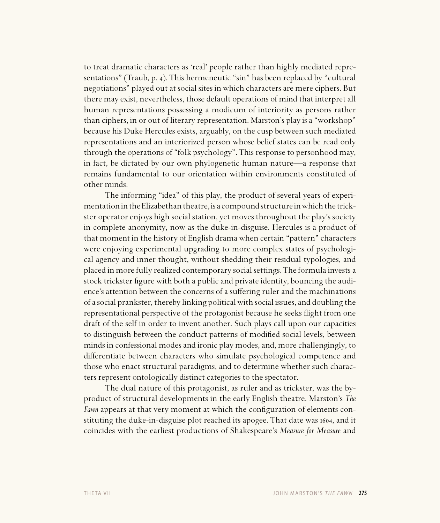to treat dramatic characters as 'real' people rather than highly mediated representations" (Traub, p. 4). This hermeneutic "sin" has been replaced by "cultural negotiations" played out at social sites in which characters are mere ciphers. But there may exist, nevertheless, those default operations of mind that interpret all human representations possessing a modicum of interiority as persons rather than ciphers, in or out of literary representation. Marston's play is a "workshop" because his Duke Hercules exists, arguably, on the cusp between such mediated representations and an interiorized person whose belief states can be read only through the operations of "folk psychology". This response to personhood may, in fact, be dictated by our own phylogenetic human nature—a response that remains fundamental to our orientation within environments constituted of other minds.

The informing "idea" of this play, the product of several years of experimentation in the Elizabethan theatre, is a compound structure in which the trickster operator enjoys high social station, yet moves throughout the play's society in complete anonymity, now as the duke-in-disguise. Hercules is a product of that moment in the history of English drama when certain "pattern" characters were enjoying experimental upgrading to more complex states of psychological agency and inner thought, without shedding their residual typologies, and placed in more fully realized contemporary social settings. The formula invests a stock trickster figure with both a public and private identity, bouncing the audience's attention between the concerns of a suffering ruler and the machinations of a social prankster, thereby linking political with social issues, and doubling the representational perspective of the protagonist because he seeks flight from one draft of the self in order to invent another. Such plays call upon our capacities to distinguish between the conduct patterns of modified social levels, between minds in confessional modes and ironic play modes, and, more challengingly, to differentiate between characters who simulate psychological competence and those who enact structural paradigms, and to determine whether such characters represent ontologically distinct categories to the spectator.

The dual nature of this protagonist, as ruler and as trickster, was the byproduct of structural developments in the early English theatre. Marston's *The Fawn* appears at that very moment at which the configuration of elements constituting the duke-in-disguise plot reached its apogee. That date was 1604, and it coincides with the earliest productions of Shakespeare's *Measure for Measure* and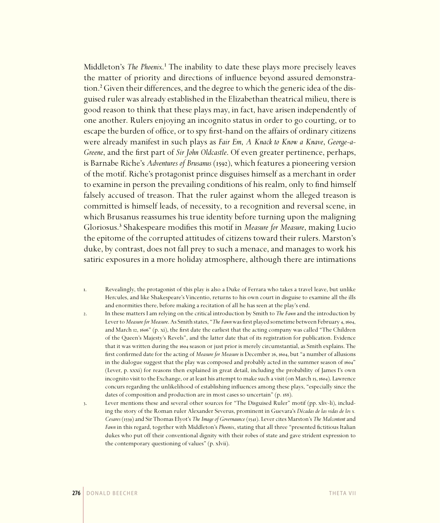Middleton's *The Phoenix*.<sup>1</sup> The inability to date these plays more precisely leaves the matter of priority and directions of influence beyond assured demonstration.² Given their differences, and the degree to which the generic idea of the disguised ruler was already established in the Elizabethan theatrical milieu, there is good reason to think that these plays may, in fact, have arisen independently of one another. Rulers enjoying an incognito status in order to go courting, or to escape the burden of office, or to spy first-hand on the affairs of ordinary citizens were already manifest in such plays as *Fair Em*, *A Knack to Know a Knave*, *George-a-Greene*, and the first part of *Sir John Oldcastle*. Of even greater pertinence, perhaps, is Barnabe Riche's *Adventures of Brusanus* (1592), which features a pioneering version of the motif. Riche's protagonist prince disguises himself as a merchant in order to examine in person the prevailing conditions of his realm, only to find himself falsely accused of treason. That the ruler against whom the alleged treason is committed is himself leads, of necessity, to a recognition and reversal scene, in which Brusanus reassumes his true identity before turning upon the maligning Gloriosus.³ Shakespeare modifies this motif in *Measure for Measure*, making Lucio the epitome of the corrupted attitudes of citizens toward their rulers. Marston's duke, by contrast, does not fall prey to such a menace, and manages to work his satiric exposures in a more holiday atmosphere, although there are intimations

- . Revealingly, the protagonist of this play is also a Duke of Ferrara who takes a travel leave, but unlike Hercules, and like Shakespeare's Vincentio, returns to his own court in disguise to examine all the ills and enormities there, before making a recitation of all he has seen at the play's end.
- . In these matters I am relying on the critical introduction by Smith to *The Fawn* and the introduction by Lever to *Measure for Measure*. As Smith states, "*The Fawn* was first played sometime between February 4, 1604, and March 12, 1606" (p. xi), the first date the earliest that the acting company was called "The Children of the Queen's Majesty's Revels", and the latter date that of its registration for publication. Evidence that it was written during the 1604 season or just prior is merely circumstantial, as Smith explains. The first confirmed date for the acting of *Measure for Measure* is December 26, 1604, but "a number of allusions in the dialogue suggest that the play was composed and probably acted in the summer season of 1604" (Lever, p. xxxi) for reasons then explained in great detail, including the probability of James I's own incognito visit to the Exchange, or at least his attempt to make such a visit (on March 15, 1604). Lawrence concurs regarding the unlikelihood of establishing influences among these plays, "especially since the dates of composition and production are in most cases so uncertain" (p. 188).
- . Lever mentions these and several other sources for "The Disguised Ruler" motif (pp. xliv-li), including the story of the Roman ruler Alexander Severus, prominent in Guevara's *Décadas de las vidas de los x. Cesares* () and Sir Thomas Elyot's *The Image of Governaunce* (). Lever cites Marston's *The Malcontent* and *Fawn* in this regard, together with Middleton's *Phoenix*, stating that all three "presented fictitious Italian dukes who put off their conventional dignity with their robes of state and gave strident expression to the contemporary questioning of values" (p. xlvii).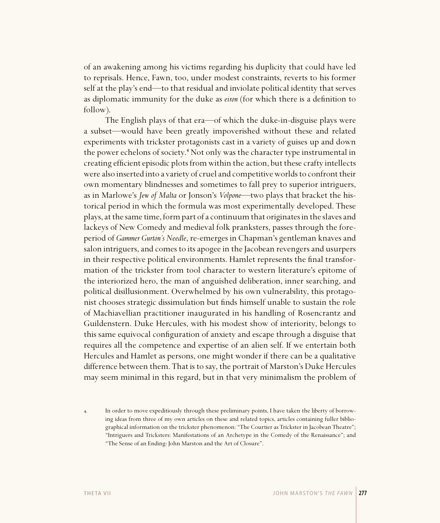of an awakening among his victims regarding his duplicity that could have led to reprisals. Hence, Fawn, too, under modest constraints, reverts to his former self at the play's end—to that residual and inviolate political identity that serves as diplomatic immunity for the duke as *eiron* (for which there is a definition to follow).

The English plays of that era—of which the duke-in-disguise plays were a subset—would have been greatly impoverished without these and related experiments with trickster protagonists cast in a variety of guises up and down the power echelons of society.<sup>4</sup> Not only was the character type instrumental in creating efficient episodic plots from within the action, but these crafty intellects were also inserted into a variety of cruel and competitive worlds to confront their own momentary blindnesses and sometimes to fall prey to superior intriguers, as in Marlowe's *Jew of Malta* or Jonson's *Volpone*—two plays that bracket the historical period in which the formula was most experimentally developed. These plays, at the same time, form part of a continuum that originates in the slaves and lackeys of New Comedy and medieval folk pranksters, passes through the foreperiod of *Gammer Gurton's Needle*, re-emerges in Chapman's gentleman knaves and salon intriguers, and comes to its apogee in the Jacobean revengers and usurpers in their respective political environments. Hamlet represents the final transformation of the trickster from tool character to western literature's epitome of the interiorized hero, the man of anguished deliberation, inner searching, and political disillusionment. Overwhelmed by his own vulnerability, this protagonist chooses strategic dissimulation but finds himself unable to sustain the role of Machiavellian practitioner inaugurated in his handling of Rosencrantz and Guildenstern. Duke Hercules, with his modest show of interiority, belongs to this same equivocal configuration of anxiety and escape through a disguise that requires all the competence and expertise of an alien self. If we entertain both Hercules and Hamlet as persons, one might wonder if there can be a qualitative difference between them. That is to say, the portrait of Marston's Duke Hercules may seem minimal in this regard, but in that very minimalism the problem of

. In order to move expeditiously through these preliminary points, I have taken the liberty of borrowing ideas from three of my own articles on these and related topics, articles containing fuller bibliographical information on the trickster phenomenon: "The Courtier as Trickster in Jacobean Theatre"; "Intriguers and Tricksters: Manifestations of an Archetype in the Comedy of the Renaissance"; and "The Sense of an Ending: John Marston and the Art of Closure".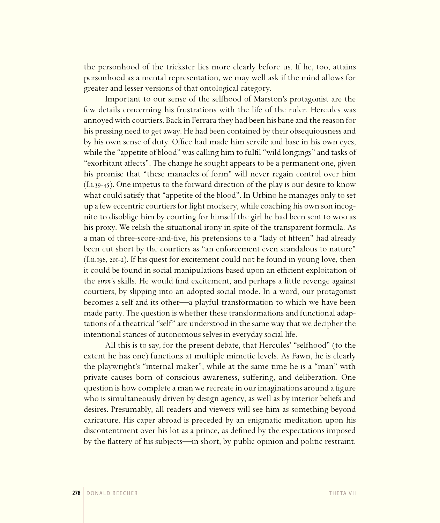the personhood of the trickster lies more clearly before us. If he, too, attains personhood as a mental representation, we may well ask if the mind allows for greater and lesser versions of that ontological category.

Important to our sense of the selfhood of Marston's protagonist are the few details concerning his frustrations with the life of the ruler. Hercules was annoyed with courtiers. Back in Ferrara they had been his bane and the reason for his pressing need to get away. He had been contained by their obsequiousness and by his own sense of duty. Office had made him servile and base in his own eyes, while the "appetite of blood" was calling him to fulfil "wild longings" and tasks of "exorbitant affects". The change he sought appears to be a permanent one, given his promise that "these manacles of form" will never regain control over him  $(I.i.39-45)$ . One impetus to the forward direction of the play is our desire to know what could satisfy that "appetite of the blood". In Urbino he manages only to set up a few eccentric courtiers for light mockery, while coaching his own son incognito to disoblige him by courting for himself the girl he had been sent to woo as his proxy. We relish the situational irony in spite of the transparent formula. As a man of three-score-and-five, his pretensions to a "lady of fifteen" had already been cut short by the courtiers as "an enforcement even scandalous to nature"  $(I.ii.196, 201-2)$ . If his quest for excitement could not be found in young love, then it could be found in social manipulations based upon an efficient exploitation of the *eiron'*s skills. He would find excitement, and perhaps a little revenge against courtiers, by slipping into an adopted social mode. In a word, our protagonist becomes a self and its other—a playful transformation to which we have been made party. The question is whether these transformations and functional adaptations of a theatrical "self" are understood in the same way that we decipher the intentional stances of autonomous selves in everyday social life.

All this is to say, for the present debate, that Hercules' "selfhood" (to the extent he has one) functions at multiple mimetic levels. As Fawn, he is clearly the playwright's "internal maker", while at the same time he is a "man" with private causes born of conscious awareness, suffering, and deliberation. One question is how complete a man we recreate in our imaginations around a figure who is simultaneously driven by design agency, as well as by interior beliefs and desires. Presumably, all readers and viewers will see him as something beyond caricature. His caper abroad is preceded by an enigmatic meditation upon his discontentment over his lot as a prince, as defined by the expectations imposed by the flattery of his subjects—in short, by public opinion and politic restraint.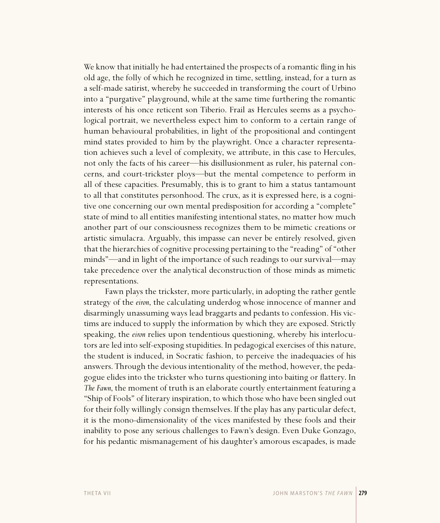We know that initially he had entertained the prospects of a romantic fling in his old age, the folly of which he recognized in time, settling, instead, for a turn as a self-made satirist, whereby he succeeded in transforming the court of Urbino into a "purgative" playground, while at the same time furthering the romantic interests of his once reticent son Tiberio. Frail as Hercules seems as a psychological portrait, we nevertheless expect him to conform to a certain range of human behavioural probabilities, in light of the propositional and contingent mind states provided to him by the playwright. Once a character representation achieves such a level of complexity, we attribute, in this case to Hercules, not only the facts of his career—his disillusionment as ruler, his paternal concerns, and court-trickster ploys—but the mental competence to perform in all of these capacities. Presumably, this is to grant to him a status tantamount to all that constitutes personhood. The crux, as it is expressed here, is a cognitive one concerning our own mental predisposition for according a "complete" state of mind to all entities manifesting intentional states, no matter how much another part of our consciousness recognizes them to be mimetic creations or artistic simulacra. Arguably, this impasse can never be entirely resolved, given that the hierarchies of cognitive processing pertaining to the "reading" of "other minds"—and in light of the importance of such readings to our survival—may take precedence over the analytical deconstruction of those minds as mimetic representations.

Fawn plays the trickster, more particularly, in adopting the rather gentle strategy of the *eiron*, the calculating underdog whose innocence of manner and disarmingly unassuming ways lead braggarts and pedants to confession. His victims are induced to supply the information by which they are exposed. Strictly speaking, the *eiron* relies upon tendentious questioning, whereby his interlocutors are led into self-exposing stupidities. In pedagogical exercises of this nature, the student is induced, in Socratic fashion, to perceive the inadequacies of his answers. Through the devious intentionality of the method, however, the pedagogue elides into the trickster who turns questioning into baiting or flattery. In *The Fawn*, the moment of truth is an elaborate courtly entertainment featuring a "Ship of Fools" of literary inspiration, to which those who have been singled out for their folly willingly consign themselves. If the play has any particular defect, it is the mono-dimensionality of the vices manifested by these fools and their inability to pose any serious challenges to Fawn's design. Even Duke Gonzago, for his pedantic mismanagement of his daughter's amorous escapades, is made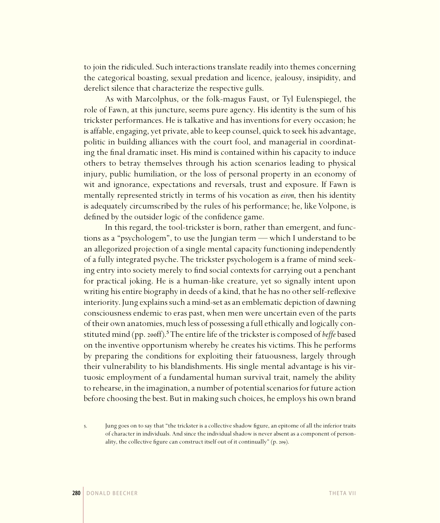to join the ridiculed. Such interactions translate readily into themes concerning the categorical boasting, sexual predation and licence, jealousy, insipidity, and derelict silence that characterize the respective gulls.

As with Marcolphus, or the folk-magus Faust, or Tyl Eulenspiegel, the role of Fawn, at this juncture, seems pure agency. His identity is the sum of his trickster performances. He is talkative and has inventions for every occasion; he is affable, engaging, yet private, able to keep counsel, quick to seek his advantage, politic in building alliances with the court fool, and managerial in coordinating the final dramatic inset. His mind is contained within his capacity to induce others to betray themselves through his action scenarios leading to physical injury, public humiliation, or the loss of personal property in an economy of wit and ignorance, expectations and reversals, trust and exposure. If Fawn is mentally represented strictly in terms of his vocation as *eiron*, then his identity is adequately circumscribed by the rules of his performance; he, like Volpone, is defined by the outsider logic of the confidence game.

In this regard, the tool-trickster is born, rather than emergent, and functions as a "psychologem", to use the Jungian term — which I understand to be an allegorized projection of a single mental capacity functioning independently of a fully integrated psyche. The trickster psychologem is a frame of mind seeking entry into society merely to find social contexts for carrying out a penchant for practical joking. He is a human-like creature, yet so signally intent upon writing his entire biography in deeds of a kind, that he has no other self-reflexive interiority. Jung explains such a mind-set as an emblematic depiction of dawning consciousness endemic to eras past, when men were uncertain even of the parts of their own anatomies, much less of possessing a full ethically and logically constituted mind (pp. 200ff).<sup>5</sup> The entire life of the trickster is composed of *beffe* based on the inventive opportunism whereby he creates his victims. This he performs by preparing the conditions for exploiting their fatuousness, largely through their vulnerability to his blandishments. His single mental advantage is his virtuosic employment of a fundamental human survival trait, namely the ability to rehearse, in the imagination, a number of potential scenarios for future action before choosing the best. But in making such choices, he employs his own brand

<sup>.</sup> Jung goes on to say that "the trickster is a collective shadow figure, an epitome of all the inferior traits of character in individuals. And since the individual shadow is never absent as a component of personality, the collective figure can construct itself out of it continually" (p. 209).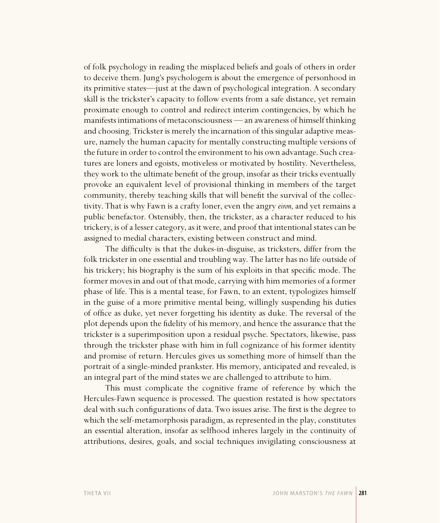of folk psychology in reading the misplaced beliefs and goals of others in order to deceive them. Jung's psychologem is about the emergence of personhood in its primitive states—just at the dawn of psychological integration. A secondary skill is the trickster's capacity to follow events from a safe distance, yet remain proximate enough to control and redirect interim contingencies, by which he manifests intimations of metaconsciousness — an awareness of himself thinking and choosing. Trickster is merely the incarnation of this singular adaptive measure, namely the human capacity for mentally constructing multiple versions of the future in order to control the environment to his own advantage. Such creatures are loners and egoists, motiveless or motivated by hostility. Nevertheless, they work to the ultimate benefit of the group, insofar as their tricks eventually provoke an equivalent level of provisional thinking in members of the target community, thereby teaching skills that will benefit the survival of the collectivity. That is why Fawn is a crafty loner, even the angry *eiron*, and yet remains a public benefactor. Ostensibly, then, the trickster, as a character reduced to his trickery, is of a lesser category, as it were, and proof that intentional states can be assigned to medial characters, existing between construct and mind.

The difficulty is that the dukes-in-disguise, as tricksters, differ from the folk trickster in one essential and troubling way. The latter has no life outside of his trickery; his biography is the sum of his exploits in that specific mode. The former moves in and out of that mode, carrying with him memories of a former phase of life. This is a mental tease, for Fawn, to an extent, typologizes himself in the guise of a more primitive mental being, willingly suspending his duties of office as duke, yet never forgetting his identity as duke. The reversal of the plot depends upon the fidelity of his memory, and hence the assurance that the trickster is a superimposition upon a residual psyche. Spectators, likewise, pass through the trickster phase with him in full cognizance of his former identity and promise of return. Hercules gives us something more of himself than the portrait of a single-minded prankster. His memory, anticipated and revealed, is an integral part of the mind states we are challenged to attribute to him.

This must complicate the cognitive frame of reference by which the Hercules-Fawn sequence is processed. The question restated is how spectators deal with such configurations of data. Two issues arise. The first is the degree to which the self-metamorphosis paradigm, as represented in the play, constitutes an essential alteration, insofar as selfhood inheres largely in the continuity of attributions, desires, goals, and social techniques invigilating consciousness at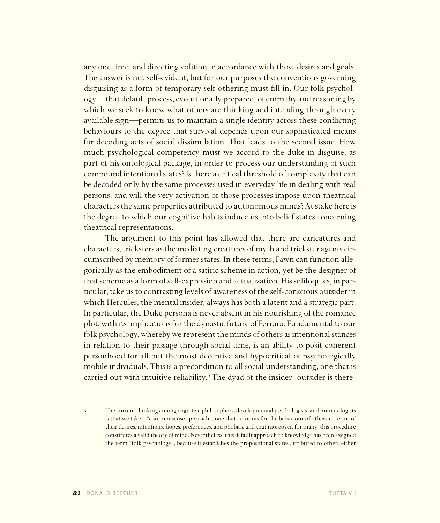any one time, and directing volition in accordance with those desires and goals. The answer is not self-evident, but for our purposes the conventions governing disguising as a form of temporary self-othering must fill in. Our folk psychology—that default process, evolutionally prepared, of empathy and reasoning by which we seek to know what others are thinking and intending through every available sign—permits us to maintain a single identity across these conflicting behaviours to the degree that survival depends upon our sophisticated means for decoding acts of social dissimulation. That leads to the second issue. How much psychological competency must we accord to the duke-in-disguise, as part of his ontological package, in order to process our understanding of such compound intentional states? Is there a critical threshold of complexity that can be decoded only by the same processes used in everyday life in dealing with real persons, and will the very activation of those processes impose upon theatrical characters the same properties attributed to autonomous minds? At stake here is the degree to which our cognitive habits induce us into belief states concerning theatrical representations.

The argument to this point has allowed that there are caricatures and characters, tricksters as the mediating creatures of myth and trickster agents circumscribed by memory of former states. In these terms, Fawn can function allegorically as the embodiment of a satiric scheme in action, yet be the designer of that scheme as a form of self-expression and actualization. His soliloquies, in particular, take us to contrasting levels of awareness of the self-conscious outsider in which Hercules, the mental insider, always has both a latent and a strategic part. In particular, the Duke persona is never absent in his nourishing of the romance plot, with its implications for the dynastic future of Ferrara. Fundamental to our folk psychology, whereby we represent the minds of others as intentional stances in relation to their passage through social time, is an ability to posit coherent personhood for all but the most deceptive and hypocritical of psychologically mobile individuals. This is a precondition to all social understanding, one that is carried out with intuitive reliability.<sup>6</sup> The dyad of the insider- outsider is there-

. The current thinking among cognitive philosophers, developmental psychologists, and primatologists is that we take a "commonsense approach", one that accounts for the behaviour of others in terms of their desires, intentions, hopes, preferences, and phobias, and that moreover, for many, this procedure constitutes a valid theory of mind. Nevertheless, this default approach to knowledge has been assigned the term "folk psychology", because it establishes the propositional states attributed to others either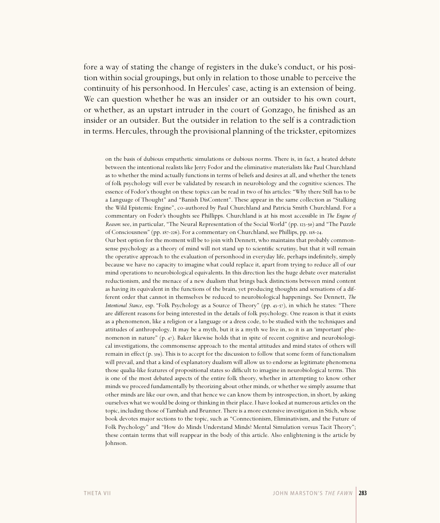fore a way of stating the change of registers in the duke's conduct, or his position within social groupings, but only in relation to those unable to perceive the continuity of his personhood. In Hercules' case, acting is an extension of being. We can question whether he was an insider or an outsider to his own court, or whether, as an upstart intruder in the court of Gonzago, he finished as an insider or an outsider. But the outsider in relation to the self is a contradiction in terms. Hercules, through the provisional planning of the trickster, epitomizes

on the basis of dubious empathetic simulations or dubious norms. There is, in fact, a heated debate between the intentional realists like Jerry Fodor and the eliminative materialists like Paul Churchland as to whether the mind actually functions in terms of beliefs and desires at all, and whether the tenets of folk psychology will ever be validated by research in neurobiology and the cognitive sciences. The essence of Fodor's thought on these topics can be read in two of his articles: "Why there Still has to be a Language of Thought" and "Banish DisContent". These appear in the same collection as "Stalking the Wild Epistemic Engine", co-authored by Paul Churchland and Patricia Smith Churchland. For a commentary on Foder's thoughts see Phillipps. Churchland is at his most accessible in *The Engine of Reason*: see, in particular, "The Neural Representation of the Social World" (pp. 123-50) and "The Puzzle of Consciousness" (pp. 187-226). For a commentary on Churchland, see Phillips, pp. 118-24.

Our best option for the moment will be to join with Dennett, who maintains that probably commonsense psychology as a theory of mind will not stand up to scientific scrutiny, but that it will remain the operative approach to the evaluation of personhood in everyday life, perhaps indefinitely, simply because we have no capacity to imagine what could replace it, apart from trying to reduce all of our mind operations to neurobiological equivalents. In this direction lies the huge debate over materialist reductionism, and the menace of a new dualism that brings back distinctions between mind content as having its equivalent in the functions of the brain, yet producing thoughts and sensations of a different order that cannot in themselves be reduced to neurobiological happenings. See Dennett, *The Intentional Stance*, esp. "Folk Psychology as a Source of Theory" (pp. 43-57), in which he states: "There are different reasons for being interested in the details of folk psychology. One reason is that it exists as a phenomenon, like a religion or a language or a dress code, to be studied with the techniques and attitudes of anthropology. It may be a myth, but it is a myth we live in, so it is an 'important' phenomenon in nature" (p.  $47$ ). Baker likewise holds that in spite of recent cognitive and neurobiological investigations, the commonsense approach to the mental attitudes and mind states of others will remain in effect  $(p, 319)$ . This is to accept for the discussion to follow that some form of functionalism will prevail, and that a kind of explanatory dualism will allow us to endorse as legitimate phenomena those qualia-like features of propositional states so difficult to imagine in neurobiological terms. This is one of the most debated aspects of the entire folk theory, whether in attempting to know other minds we proceed fundamentally by theorizing about other minds, or whether we simply assume that other minds are like our own, and that hence we can know them by introspection, in short, by asking ourselves what we would be doing or thinking in their place. I have looked at numerous articles on the topic, including those of Tambiah and Brunner. There is a more extensive investigation in Stich, whose book devotes major sections to the topic, such as "Connectionism, Eliminativism, and the Future of Folk Psychology" and "How do Minds Understand Minds? Mental Simulation versus Tacit Theory"; these contain terms that will reappear in the body of this article. Also enlightening is the article by Johnson.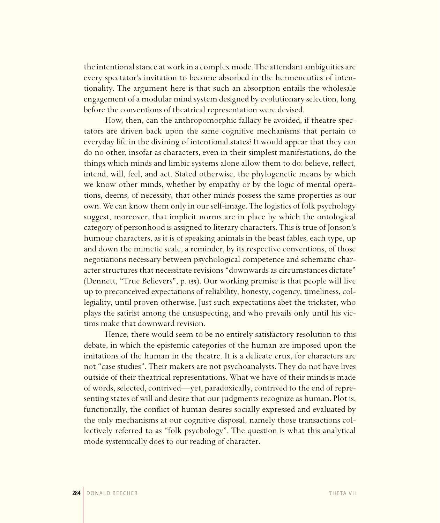the intentional stance at work in a complex mode. The attendant ambiguities are every spectator's invitation to become absorbed in the hermeneutics of intentionality. The argument here is that such an absorption entails the wholesale engagement of a modular mind system designed by evolutionary selection, long before the conventions of theatrical representation were devised.

How, then, can the anthropomorphic fallacy be avoided, if theatre spectators are driven back upon the same cognitive mechanisms that pertain to everyday life in the divining of intentional states? It would appear that they can do no other, insofar as characters, even in their simplest manifestations, do the things which minds and limbic systems alone allow them to do: believe, reflect, intend, will, feel, and act. Stated otherwise, the phylogenetic means by which we know other minds, whether by empathy or by the logic of mental operations, deems, of necessity, that other minds possess the same properties as our own. We can know them only in our self-image. The logistics of folk psychology suggest, moreover, that implicit norms are in place by which the ontological category of personhood is assigned to literary characters. This is true of Jonson's humour characters, as it is of speaking animals in the beast fables, each type, up and down the mimetic scale, a reminder, by its respective conventions, of those negotiations necessary between psychological competence and schematic character structures that necessitate revisions "downwards as circumstances dictate" (Dennett, "True Believers", p. 155). Our working premise is that people will live up to preconceived expectations of reliability, honesty, cogency, timeliness, collegiality, until proven otherwise. Just such expectations abet the trickster, who plays the satirist among the unsuspecting, and who prevails only until his victims make that downward revision.

Hence, there would seem to be no entirely satisfactory resolution to this debate, in which the epistemic categories of the human are imposed upon the imitations of the human in the theatre. It is a delicate crux, for characters are not "case studies". Their makers are not psychoanalysts. They do not have lives outside of their theatrical representations. What we have of their minds is made of words, selected, contrived—yet, paradoxically, contrived to the end of representing states of will and desire that our judgments recognize as human. Plot is, functionally, the conflict of human desires socially expressed and evaluated by the only mechanisms at our cognitive disposal, namely those transactions collectively referred to as "folk psychology". The question is what this analytical mode systemically does to our reading of character.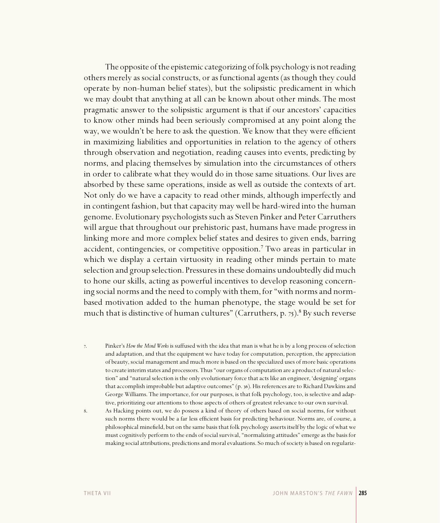The opposite of the epistemic categorizing of folk psychology is not reading others merely as social constructs, or as functional agents (as though they could operate by non-human belief states), but the solipsistic predicament in which we may doubt that anything at all can be known about other minds. The most pragmatic answer to the solipsistic argument is that if our ancestors' capacities to know other minds had been seriously compromised at any point along the way, we wouldn't be here to ask the question. We know that they were efficient in maximizing liabilities and opportunities in relation to the agency of others through observation and negotiation, reading causes into events, predicting by norms, and placing themselves by simulation into the circumstances of others in order to calibrate what they would do in those same situations. Our lives are absorbed by these same operations, inside as well as outside the contexts of art. Not only do we have a capacity to read other minds, although imperfectly and in contingent fashion, but that capacity may well be hard-wired into the human genome. Evolutionary psychologists such as Steven Pinker and Peter Carruthers will argue that throughout our prehistoric past, humans have made progress in linking more and more complex belief states and desires to given ends, barring accident, contingencies, or competitive opposition.<sup>7</sup> Two areas in particular in which we display a certain virtuosity in reading other minds pertain to mate selection and group selection. Pressures in these domains undoubtedly did much to hone our skills, acting as powerful incentives to develop reasoning concerning social norms and the need to comply with them, for "with norms and normbased motivation added to the human phenotype, the stage would be set for much that is distinctive of human cultures" (Carruthers, p. 75).<sup>8</sup> By such reverse

. Pinker's *How the Mind Works* is suffused with the idea that man is what he is by a long process of selection and adaptation, and that the equipment we have today for computation, perception, the appreciation of beauty, social management and much more is based on the specialized uses of more basic operations to create interim states and processors. Thus "our organs of computation are a product of natural selection" and "natural selection is the only evolutionary force that acts like an engineer, 'designing' organs that accomplish improbable but adaptive outcomes" (p. 36). His references are to Richard Dawkins and George Williams. The importance, for our purposes, is that folk psychology, too, is selective and adaptive, prioritizing our attentions to those aspects of others of greatest relevance to our own survival.

. As Hacking points out, we do possess a kind of theory of others based on social norms, for without such norms there would be a far less efficient basis for predicting behaviour. Norms are, of course, a philosophical minefield, but on the same basis that folk psychology asserts itself by the logic of what we must cognitively perform to the ends of social survival, "normalizing attitudes" emerge as the basis for making social attributions, predictions and moral evaluations. So much of society is based on regulariz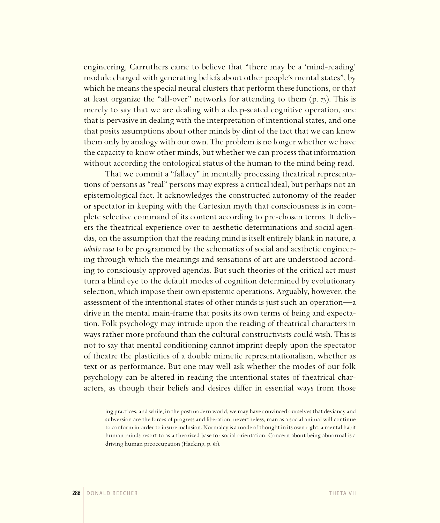engineering, Carruthers came to believe that "there may be a 'mind-reading' module charged with generating beliefs about other people's mental states", by which he means the special neural clusters that perform these functions, or that at least organize the "all-over" networks for attending to them  $(p, 73)$ . This is merely to say that we are dealing with a deep-seated cognitive operation, one that is pervasive in dealing with the interpretation of intentional states, and one that posits assumptions about other minds by dint of the fact that we can know them only by analogy with our own. The problem is no longer whether we have the capacity to know other minds, but whether we can process that information without according the ontological status of the human to the mind being read.

That we commit a "fallacy" in mentally processing theatrical representations of persons as "real" persons may express a critical ideal, but perhaps not an epistemological fact. It acknowledges the constructed autonomy of the reader or spectator in keeping with the Cartesian myth that consciousness is in complete selective command of its content according to pre-chosen terms. It delivers the theatrical experience over to aesthetic determinations and social agendas, on the assumption that the reading mind is itself entirely blank in nature, a *tabula rasa* to be programmed by the schematics of social and aesthetic engineering through which the meanings and sensations of art are understood according to consciously approved agendas. But such theories of the critical act must turn a blind eye to the default modes of cognition determined by evolutionary selection, which impose their own epistemic operations. Arguably, however, the assessment of the intentional states of other minds is just such an operation—a drive in the mental main-frame that posits its own terms of being and expectation. Folk psychology may intrude upon the reading of theatrical characters in ways rather more profound than the cultural constructivists could wish. This is not to say that mental conditioning cannot imprint deeply upon the spectator of theatre the plasticities of a double mimetic representationalism, whether as text or as performance. But one may well ask whether the modes of our folk psychology can be altered in reading the intentional states of theatrical characters, as though their beliefs and desires differ in essential ways from those

ing practices, and while, in the postmodern world, we may have convinced ourselves that deviancy and subversion are the forces of progress and liberation, nevertheless, man as a social animal will continue to conform in order to insure inclusion. Normalcy is a mode of thought in its own right, a mental habit human minds resort to as a theorized base for social orientation. Concern about being abnormal is a driving human preoccupation (Hacking, p. 61).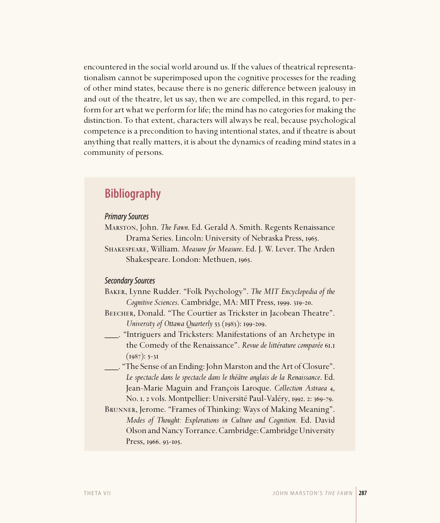encountered in the social world around us. If the values of theatrical representationalism cannot be superimposed upon the cognitive processes for the reading of other mind states, because there is no generic difference between jealousy in and out of the theatre, let us say, then we are compelled, in this regard, to perform for art what we perform for life; the mind has no categories for making the distinction. To that extent, characters will always be real, because psychological competence is a precondition to having intentional states, and if theatre is about anything that really matters, it is about the dynamics of reading mind states in a community of persons.

# **Bibliography**

## Primary Sources

Marston, John. *The Fawn*. Ed. Gerald A. Smith. Regents Renaissance Drama Series. Lincoln: University of Nebraska Press, 1965.

Shakespeare, William. *Measure for Measure*. Ed. J. W. Lever. The Arden Shakespeare. London: Methuen, 1965.

### Secondary Sources

Baker, Lynne Rudder. "Folk Psychology". *The MIT Encyclopedia of the Cognitive Sciences.* Cambridge, MA: MIT Press, 1999. 319-20.

BEECHER, Donald. "The Courtier as Trickster in Jacobean Theatre". *University of Ottawa Quarterly* 53 (1983): 199-209.

- \_\_\_. "Intriguers and Tricksters: Manifestations of an Archetype in the Comedy of the Renaissance". Revue de littérature comparée 61.1  $(1987): 5-31$
- \_\_\_. "The Sense of an Ending: John Marston and the Art of Closure". *Le spectacle dans le spectacle dans le théâtre anglais de la Renaissance*. Ed. Jean-Marie Maguin and François Laroque. *Collection Astraea* , No. I. 2 vols. Montpellier: Université Paul-Valéry, 1992. 2: 369-79.

Brunner, Jerome. "Frames of Thinking: Ways of Making Meaning". *Modes of Thought: Explorations in Culture and Cognition.* Ed. David Olson and Nancy Torrance.Cambridge: Cambridge University Press, 1966. 93-105.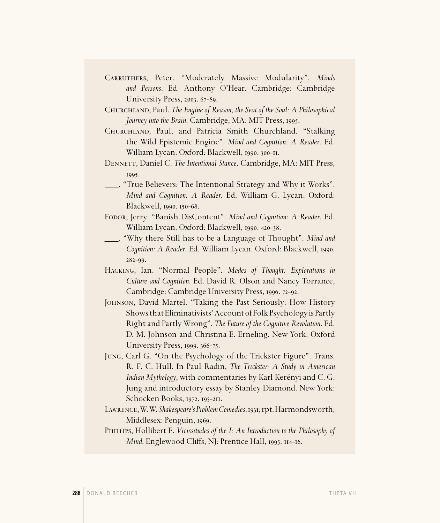- Carruthers, Peter. "Moderately Massive Modularity". *Minds and Persons*. Ed. Anthony O'Hear. Cambridge: Cambridge University Press, 2003. 67-89.
- Churchland, Paul. *The Engine of Reason, the Seat of the Soul: A Philosophical Journey into the Brain.* Cambridge, MA: MIT Press, 1995.
- Churchland, Paul, and Patricia Smith Churchland. "Stalking the Wild Epistemic Engine". *Mind and Cognition: A Reader*. Ed. William Lycan. Oxford: Blackwell, 1990. 300-11.
- Dennett, Daniel C. *The Intentional Stance*. Cambridge, MA: MIT Press, 1995.
- \_\_\_. "True Believers: The Intentional Strategy and Why it Works". *Mind and Cognition: A Reader*. Ed. William G. Lycan. Oxford: Blackwell, 1990. 150-68.
- Fodor, Jerry. "Banish DisContent". *Mind and Cognition: A Reader*. Ed. William Lycan. Oxford: Blackwell, 1990. 420-38.
- \_\_\_. "Why there Still has to be a Language of Thought". *Mind and Cognition: A Reader. Ed. William Lycan. Oxford: Blackwell, 1990.*  $282 - 99.$
- Hacking, Ian. "Normal People". *Modes of Thought: Explorations in Culture and Cognition*. Ed. David R. Olson and Nancy Torrance, Cambridge: Cambridge University Press, 1996. 72-92.
- Johnson, David Martel. "Taking the Past Seriously: How History Shows that Eliminativists' Account of Folk Psychology is Partly Right and Partly Wrong". *The Future of the Cognitive Revolution*. Ed. D. M. Johnson and Christina E. Erneling. New York: Oxford University Press, 1999. 366-75.
- Jung, Carl G. "On the Psychology of the Trickster Figure". Trans. R. F. C. Hull. In Paul Radin, *The Trickster: A Study in American Indian Mythology*, with commentaries by Karl Kerényi and C. G. Jung and introductory essay by Stanley Diamond. New York: Schocken Books, 1972. 195-211.
- LAWRENCE, W.W. Shakespeare's Problem Comedies. 1931; rpt. Harmondsworth, Middlesex: Penguin, 1969.
- Phillips, Hollibert E. *Vicissitudes of the I: An Introduction to the Philosophy of Mind.* Englewood Cliffs, NJ: Prentice Hall, 1995. 114-16.